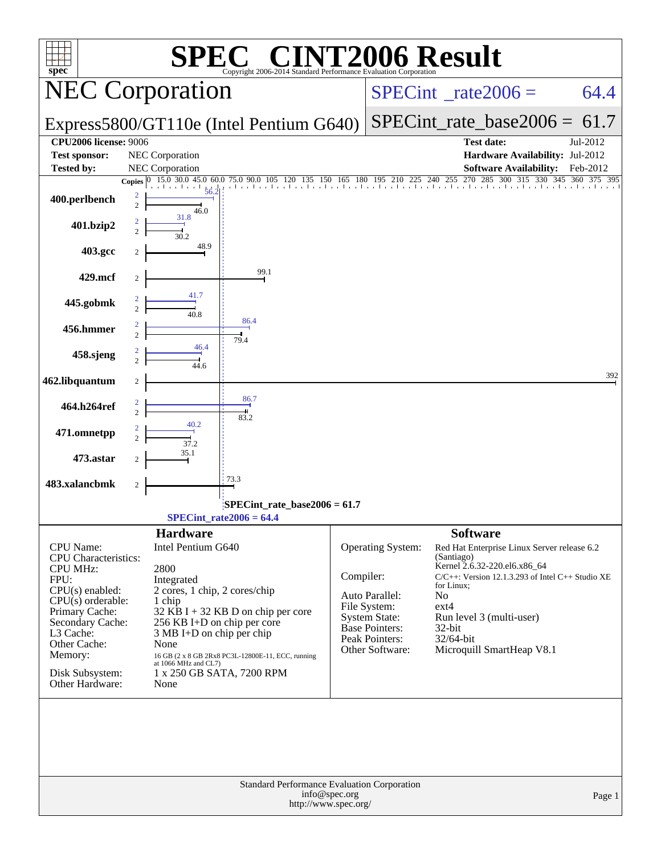| <b>NT2006 Result</b><br>$\bigcap$ $\bigcap$<br>$spec^*$<br>Copyright 2006-2014 Standard Performance Evaluation Corporation |                                  |                                    |                                                                                                              |           |                                         |                                                                                       |          |  |  |  |
|----------------------------------------------------------------------------------------------------------------------------|----------------------------------|------------------------------------|--------------------------------------------------------------------------------------------------------------|-----------|-----------------------------------------|---------------------------------------------------------------------------------------|----------|--|--|--|
|                                                                                                                            |                                  | <b>NEC Corporation</b>             |                                                                                                              |           | $SPECint^{\circ}$ _rate2006 =           | 64.4                                                                                  |          |  |  |  |
|                                                                                                                            |                                  |                                    | Express5800/GT110e (Intel Pentium G640)                                                                      |           | $SPECint_rate_base2006 = 61.7$          |                                                                                       |          |  |  |  |
| <b>CPU2006 license: 9006</b>                                                                                               |                                  |                                    |                                                                                                              |           |                                         | <b>Test date:</b>                                                                     | Jul-2012 |  |  |  |
| <b>Test sponsor:</b><br><b>Tested by:</b>                                                                                  |                                  | NEC Corporation<br>NEC Corporation |                                                                                                              |           |                                         | Hardware Availability: Jul-2012<br><b>Software Availability:</b>                      | Feb-2012 |  |  |  |
|                                                                                                                            | <b>Copies</b>                    | $0$ 15.0 30.0 45.0 60.0            | 75.0 90.0 105 120 135 150 165 180 195 210 225 240 255 270 2                                                  |           |                                         | 255 270<br>285<br>300 315 330 345 360 375 395                                         |          |  |  |  |
| 400.perlbench                                                                                                              | 2<br>$\overline{c}$              | 56.2<br>46.0                       |                                                                                                              |           |                                         |                                                                                       |          |  |  |  |
| 401.bzip2                                                                                                                  | 2<br>$\overline{2}$              | 31.8<br>30.2                       |                                                                                                              |           |                                         |                                                                                       |          |  |  |  |
| 403.gcc                                                                                                                    |                                  | 48.9                               |                                                                                                              |           |                                         |                                                                                       |          |  |  |  |
| 429.mcf                                                                                                                    |                                  |                                    | 99.1                                                                                                         |           |                                         |                                                                                       |          |  |  |  |
| 445.gobmk                                                                                                                  | $\overline{2}$                   | 41.7<br>40.8                       |                                                                                                              |           |                                         |                                                                                       |          |  |  |  |
| 456.hmmer                                                                                                                  | $\overline{2}$<br>$\overline{c}$ |                                    | 86.4<br>79.4                                                                                                 |           |                                         |                                                                                       |          |  |  |  |
| 458.sjeng                                                                                                                  | $\overline{2}$                   | 46.4<br>44.6                       |                                                                                                              |           |                                         |                                                                                       |          |  |  |  |
| 462.libquantum                                                                                                             | 2                                |                                    |                                                                                                              |           |                                         |                                                                                       | 392      |  |  |  |
| 464.h264ref                                                                                                                | 2<br>$\overline{2}$              |                                    | 86.7<br>83.2                                                                                                 |           |                                         |                                                                                       |          |  |  |  |
| 471.omnetpp                                                                                                                |                                  | 37.2                               |                                                                                                              |           |                                         |                                                                                       |          |  |  |  |
| 473.astar                                                                                                                  |                                  | 35.1                               |                                                                                                              |           |                                         |                                                                                       |          |  |  |  |
| 483.xalancbmk                                                                                                              | 2                                |                                    | 73.3                                                                                                         |           |                                         |                                                                                       |          |  |  |  |
|                                                                                                                            |                                  |                                    | SPECint rate base $2006 = 61.7$<br>$SPECint_rate2006 = 64.4$                                                 |           |                                         |                                                                                       |          |  |  |  |
|                                                                                                                            |                                  | <b>Hardware</b>                    |                                                                                                              |           |                                         | <b>Software</b>                                                                       |          |  |  |  |
| CPU Name:<br>CPU Characteristics:                                                                                          |                                  | Intel Pentium G640                 |                                                                                                              |           | Operating System:                       | Red Hat Enterprise Linux Server release 6.2<br>(Santiago)                             |          |  |  |  |
| <b>CPU MHz:</b><br>FPU:                                                                                                    |                                  | 2800<br>Integrated                 |                                                                                                              | Compiler: |                                         | Kernel 2.6.32-220.el6.x86_64<br>$C/C++$ : Version 12.1.3.293 of Intel $C++$ Studio XE |          |  |  |  |
| $CPU(s)$ enabled:                                                                                                          |                                  | 2 cores, 1 chip, 2 cores/chip      |                                                                                                              |           | Auto Parallel:                          | for Linux;<br>N <sub>o</sub>                                                          |          |  |  |  |
| $CPU(s)$ orderable:                                                                                                        |                                  | 1 chip                             |                                                                                                              |           | File System:                            | $ext{4}$                                                                              |          |  |  |  |
| Primary Cache:<br>Secondary Cache:                                                                                         |                                  | 256 KB I+D on chip per core        | 32 KB I + 32 KB D on chip per core                                                                           |           | System State:                           | Run level 3 (multi-user)                                                              |          |  |  |  |
| L3 Cache:                                                                                                                  |                                  | $3 MB I+D$ on chip per chip        |                                                                                                              |           | <b>Base Pointers:</b><br>Peak Pointers: | 32-bit<br>32/64-bit                                                                   |          |  |  |  |
| Other Cache:<br>Memory:                                                                                                    |                                  | None                               |                                                                                                              |           | Other Software:                         | Microquill SmartHeap V8.1                                                             |          |  |  |  |
| Disk Subsystem:                                                                                                            |                                  |                                    | $16$ GB $(2 \times 8$ GB 2Rx8 PC3L-12800E-11, ECC, running at 1066 MHz and CL7)<br>1 x 250 GB SATA, 7200 RPM |           |                                         |                                                                                       |          |  |  |  |
| Other Hardware:                                                                                                            |                                  | None                               |                                                                                                              |           |                                         |                                                                                       |          |  |  |  |
|                                                                                                                            |                                  |                                    |                                                                                                              |           |                                         |                                                                                       |          |  |  |  |
|                                                                                                                            |                                  |                                    |                                                                                                              | Page 1    |                                         |                                                                                       |          |  |  |  |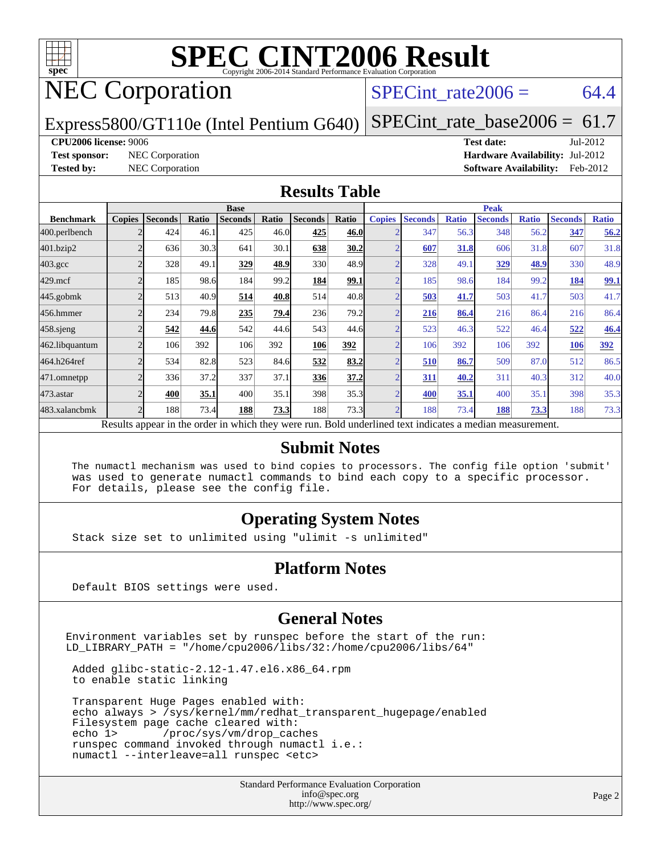

# NEC Corporation

SPECint rate $2006 = 64.4$ 

Express5800/GT110e (Intel Pentium G640)

[SPECint\\_rate\\_base2006 =](http://www.spec.org/auto/cpu2006/Docs/result-fields.html#SPECintratebase2006)  $61.7$ 

#### **[CPU2006 license:](http://www.spec.org/auto/cpu2006/Docs/result-fields.html#CPU2006license)** 9006 **[Test date:](http://www.spec.org/auto/cpu2006/Docs/result-fields.html#Testdate)** Jul-2012

**[Test sponsor:](http://www.spec.org/auto/cpu2006/Docs/result-fields.html#Testsponsor)** NEC Corporation **[Hardware Availability:](http://www.spec.org/auto/cpu2006/Docs/result-fields.html#HardwareAvailability)** Jul-2012 **[Tested by:](http://www.spec.org/auto/cpu2006/Docs/result-fields.html#Testedby)** NEC Corporation **[Software Availability:](http://www.spec.org/auto/cpu2006/Docs/result-fields.html#SoftwareAvailability)** Feb-2012

#### **[Results Table](http://www.spec.org/auto/cpu2006/Docs/result-fields.html#ResultsTable)**

|                                                                                                          | <b>Base</b>   |                |       |                |       |                |       | <b>Peak</b>   |                |              |                |              |                |              |
|----------------------------------------------------------------------------------------------------------|---------------|----------------|-------|----------------|-------|----------------|-------|---------------|----------------|--------------|----------------|--------------|----------------|--------------|
| <b>Benchmark</b>                                                                                         | <b>Copies</b> | <b>Seconds</b> | Ratio | <b>Seconds</b> | Ratio | <b>Seconds</b> | Ratio | <b>Copies</b> | <b>Seconds</b> | <b>Ratio</b> | <b>Seconds</b> | <b>Ratio</b> | <b>Seconds</b> | <b>Ratio</b> |
| 400.perlbench                                                                                            |               | 424            | 46.1  | 425            | 46.0  | 425            | 46.0  |               | 347            | 56.3         | 348            | 56.2         | 347            | 56.2         |
| 401.bzip2                                                                                                |               | 636            | 30.3  | 641            | 30.1  | 638            | 30.2  |               | 607            | 31.8         | 606            | 31.8         | 607            | 31.8         |
| $403.\mathrm{gcc}$                                                                                       |               | 328            | 49.1  | 329            | 48.9  | 330            | 48.9  |               | 328            | 49.1         | 329            | 48.9         | 330            | 48.9         |
| $429$ .mcf                                                                                               |               | 185            | 98.6  | 184            | 99.2  | 184            | 99.1  |               | 185            | 98.6         | 184            | 99.2         | 184            | <u>99.1</u>  |
| $445$ .gobmk                                                                                             |               | 513            | 40.9  | 514            | 40.8  | 514            | 40.8  |               | 503            | 41.7         | 503            | 41.7         | 503            | 41.7         |
| 456.hmmer                                                                                                |               | 234            | 79.8  | 235            | 79.4  | 236            | 79.2  |               | 216            | 86.4         | 216            | 86.4         | 216            | 86.4         |
| $458$ .sjeng                                                                                             |               | 542            | 44.6  | 542            | 44.6  | 543            | 44.6  |               | 523            | 46.3         | 522            | 46.4         | 522            | 46.4         |
| 462.libquantum                                                                                           |               | 106            | 392   | 106            | 392   | 106            | 392   |               | 106            | 392          | 106            | 392          | 106            | 392          |
| 464.h264ref                                                                                              |               | 534            | 82.8  | 523            | 84.6  | 532            | 83.2  |               | 510            | 86.7         | 509            | 87.0         | 512            | 86.5         |
| 471.omnetpp                                                                                              |               | 336            | 37.2  | 337            | 37.1  | 336            | 37.2  |               | 311            | 40.2         | 311            | 40.3         | 312            | 40.0         |
| 473.astar                                                                                                |               | 400            | 35.1  | 400            | 35.1  | 398            | 35.3  |               | 400            | 35.1         | 400            | 35.1         | 398            | 35.3         |
| 483.xalancbmk                                                                                            |               | 188            | 73.4  | 188            | 73.3  | 188            | 73.3  |               | 188            | 73.4         | 188            | 73.3         | 188            | 73.3         |
| Results appear in the order in which they were run. Bold underlined text indicates a median measurement. |               |                |       |                |       |                |       |               |                |              |                |              |                |              |

#### **[Submit Notes](http://www.spec.org/auto/cpu2006/Docs/result-fields.html#SubmitNotes)**

 The numactl mechanism was used to bind copies to processors. The config file option 'submit' was used to generate numactl commands to bind each copy to a specific processor. For details, please see the config file.

### **[Operating System Notes](http://www.spec.org/auto/cpu2006/Docs/result-fields.html#OperatingSystemNotes)**

Stack size set to unlimited using "ulimit -s unlimited"

#### **[Platform Notes](http://www.spec.org/auto/cpu2006/Docs/result-fields.html#PlatformNotes)**

Default BIOS settings were used.

#### **[General Notes](http://www.spec.org/auto/cpu2006/Docs/result-fields.html#GeneralNotes)**

Environment variables set by runspec before the start of the run: LD\_LIBRARY\_PATH = "/home/cpu2006/libs/32:/home/cpu2006/libs/64"

 Added glibc-static-2.12-1.47.el6.x86\_64.rpm to enable static linking

 Transparent Huge Pages enabled with: echo always > /sys/kernel/mm/redhat\_transparent\_hugepage/enabled Filesystem page cache cleared with:<br>echo 1> /proc/sys/vm/drop\_cac /proc/sys/vm/drop\_caches runspec command invoked through numactl i.e.: numactl --interleave=all runspec <etc>

> Standard Performance Evaluation Corporation [info@spec.org](mailto:info@spec.org) <http://www.spec.org/>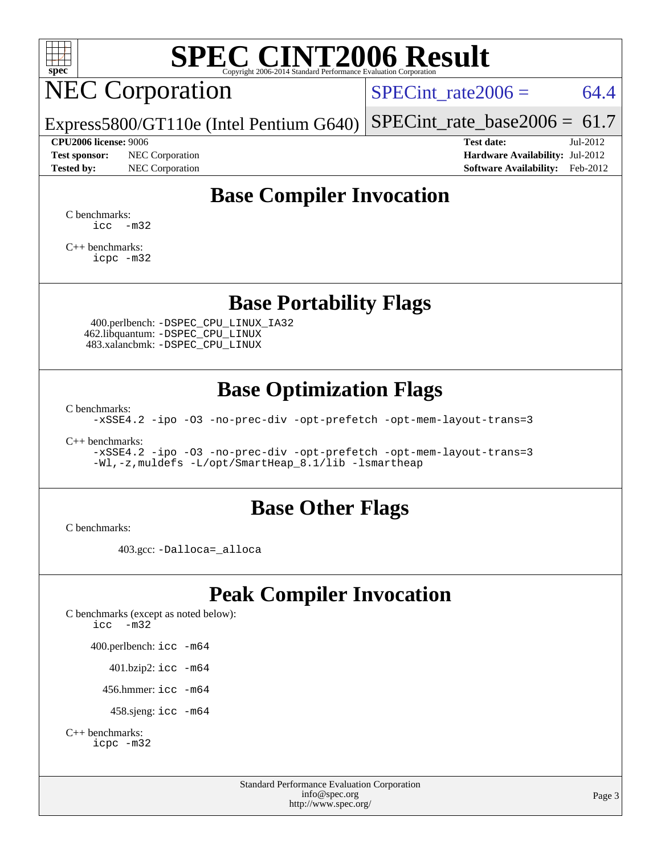

# NEC Corporation

SPECint rate $2006 = 64.4$ 

Express5800/GT110e (Intel Pentium G640) [SPECint\\_rate\\_base2006 =](http://www.spec.org/auto/cpu2006/Docs/result-fields.html#SPECintratebase2006) 61.7

**[Test sponsor:](http://www.spec.org/auto/cpu2006/Docs/result-fields.html#Testsponsor)** NEC Corporation **[Hardware Availability:](http://www.spec.org/auto/cpu2006/Docs/result-fields.html#HardwareAvailability)** Jul-2012

**[CPU2006 license:](http://www.spec.org/auto/cpu2006/Docs/result-fields.html#CPU2006license)** 9006 **[Test date:](http://www.spec.org/auto/cpu2006/Docs/result-fields.html#Testdate)** Jul-2012 **[Tested by:](http://www.spec.org/auto/cpu2006/Docs/result-fields.html#Testedby)** NEC Corporation **[Software Availability:](http://www.spec.org/auto/cpu2006/Docs/result-fields.html#SoftwareAvailability)** Feb-2012

# **[Base Compiler Invocation](http://www.spec.org/auto/cpu2006/Docs/result-fields.html#BaseCompilerInvocation)**

[C benchmarks](http://www.spec.org/auto/cpu2006/Docs/result-fields.html#Cbenchmarks):  $\text{icc}$   $-\text{m32}$ 

[C++ benchmarks:](http://www.spec.org/auto/cpu2006/Docs/result-fields.html#CXXbenchmarks) [icpc -m32](http://www.spec.org/cpu2006/results/res2012q3/cpu2006-20120716-23738.flags.html#user_CXXbase_intel_icpc_4e5a5ef1a53fd332b3c49e69c3330699)

### **[Base Portability Flags](http://www.spec.org/auto/cpu2006/Docs/result-fields.html#BasePortabilityFlags)**

 400.perlbench: [-DSPEC\\_CPU\\_LINUX\\_IA32](http://www.spec.org/cpu2006/results/res2012q3/cpu2006-20120716-23738.flags.html#b400.perlbench_baseCPORTABILITY_DSPEC_CPU_LINUX_IA32) 462.libquantum: [-DSPEC\\_CPU\\_LINUX](http://www.spec.org/cpu2006/results/res2012q3/cpu2006-20120716-23738.flags.html#b462.libquantum_baseCPORTABILITY_DSPEC_CPU_LINUX) 483.xalancbmk: [-DSPEC\\_CPU\\_LINUX](http://www.spec.org/cpu2006/results/res2012q3/cpu2006-20120716-23738.flags.html#b483.xalancbmk_baseCXXPORTABILITY_DSPEC_CPU_LINUX)

## **[Base Optimization Flags](http://www.spec.org/auto/cpu2006/Docs/result-fields.html#BaseOptimizationFlags)**

[C benchmarks](http://www.spec.org/auto/cpu2006/Docs/result-fields.html#Cbenchmarks):

[-xSSE4.2](http://www.spec.org/cpu2006/results/res2012q3/cpu2006-20120716-23738.flags.html#user_CCbase_f-xSSE42_f91528193cf0b216347adb8b939d4107) [-ipo](http://www.spec.org/cpu2006/results/res2012q3/cpu2006-20120716-23738.flags.html#user_CCbase_f-ipo) [-O3](http://www.spec.org/cpu2006/results/res2012q3/cpu2006-20120716-23738.flags.html#user_CCbase_f-O3) [-no-prec-div](http://www.spec.org/cpu2006/results/res2012q3/cpu2006-20120716-23738.flags.html#user_CCbase_f-no-prec-div) [-opt-prefetch](http://www.spec.org/cpu2006/results/res2012q3/cpu2006-20120716-23738.flags.html#user_CCbase_f-opt-prefetch) [-opt-mem-layout-trans=3](http://www.spec.org/cpu2006/results/res2012q3/cpu2006-20120716-23738.flags.html#user_CCbase_f-opt-mem-layout-trans_a7b82ad4bd7abf52556d4961a2ae94d5)

[C++ benchmarks:](http://www.spec.org/auto/cpu2006/Docs/result-fields.html#CXXbenchmarks)

[-xSSE4.2](http://www.spec.org/cpu2006/results/res2012q3/cpu2006-20120716-23738.flags.html#user_CXXbase_f-xSSE42_f91528193cf0b216347adb8b939d4107) [-ipo](http://www.spec.org/cpu2006/results/res2012q3/cpu2006-20120716-23738.flags.html#user_CXXbase_f-ipo) [-O3](http://www.spec.org/cpu2006/results/res2012q3/cpu2006-20120716-23738.flags.html#user_CXXbase_f-O3) [-no-prec-div](http://www.spec.org/cpu2006/results/res2012q3/cpu2006-20120716-23738.flags.html#user_CXXbase_f-no-prec-div) [-opt-prefetch](http://www.spec.org/cpu2006/results/res2012q3/cpu2006-20120716-23738.flags.html#user_CXXbase_f-opt-prefetch) [-opt-mem-layout-trans=3](http://www.spec.org/cpu2006/results/res2012q3/cpu2006-20120716-23738.flags.html#user_CXXbase_f-opt-mem-layout-trans_a7b82ad4bd7abf52556d4961a2ae94d5) [-Wl,-z,muldefs](http://www.spec.org/cpu2006/results/res2012q3/cpu2006-20120716-23738.flags.html#user_CXXbase_link_force_multiple1_74079c344b956b9658436fd1b6dd3a8a) [-L/opt/SmartHeap\\_8.1/lib -lsmartheap](http://www.spec.org/cpu2006/results/res2012q3/cpu2006-20120716-23738.flags.html#user_CXXbase_SmartHeap_d5ba4dfc9de25d3c657c7de7476e66c5)

### **[Base Other Flags](http://www.spec.org/auto/cpu2006/Docs/result-fields.html#BaseOtherFlags)**

[C benchmarks](http://www.spec.org/auto/cpu2006/Docs/result-fields.html#Cbenchmarks):

403.gcc: [-Dalloca=\\_alloca](http://www.spec.org/cpu2006/results/res2012q3/cpu2006-20120716-23738.flags.html#b403.gcc_baseEXTRA_CFLAGS_Dalloca_be3056838c12de2578596ca5467af7f3)

# **[Peak Compiler Invocation](http://www.spec.org/auto/cpu2006/Docs/result-fields.html#PeakCompilerInvocation)**

[C benchmarks \(except as noted below\)](http://www.spec.org/auto/cpu2006/Docs/result-fields.html#Cbenchmarksexceptasnotedbelow): [icc -m32](http://www.spec.org/cpu2006/results/res2012q3/cpu2006-20120716-23738.flags.html#user_CCpeak_intel_icc_5ff4a39e364c98233615fdd38438c6f2) 400.perlbench: [icc -m64](http://www.spec.org/cpu2006/results/res2012q3/cpu2006-20120716-23738.flags.html#user_peakCCLD400_perlbench_intel_icc_64bit_bda6cc9af1fdbb0edc3795bac97ada53) 401.bzip2: [icc -m64](http://www.spec.org/cpu2006/results/res2012q3/cpu2006-20120716-23738.flags.html#user_peakCCLD401_bzip2_intel_icc_64bit_bda6cc9af1fdbb0edc3795bac97ada53)

456.hmmer: [icc -m64](http://www.spec.org/cpu2006/results/res2012q3/cpu2006-20120716-23738.flags.html#user_peakCCLD456_hmmer_intel_icc_64bit_bda6cc9af1fdbb0edc3795bac97ada53)

458.sjeng: [icc -m64](http://www.spec.org/cpu2006/results/res2012q3/cpu2006-20120716-23738.flags.html#user_peakCCLD458_sjeng_intel_icc_64bit_bda6cc9af1fdbb0edc3795bac97ada53)

```
C++ benchmarks: 
icpc -m32
```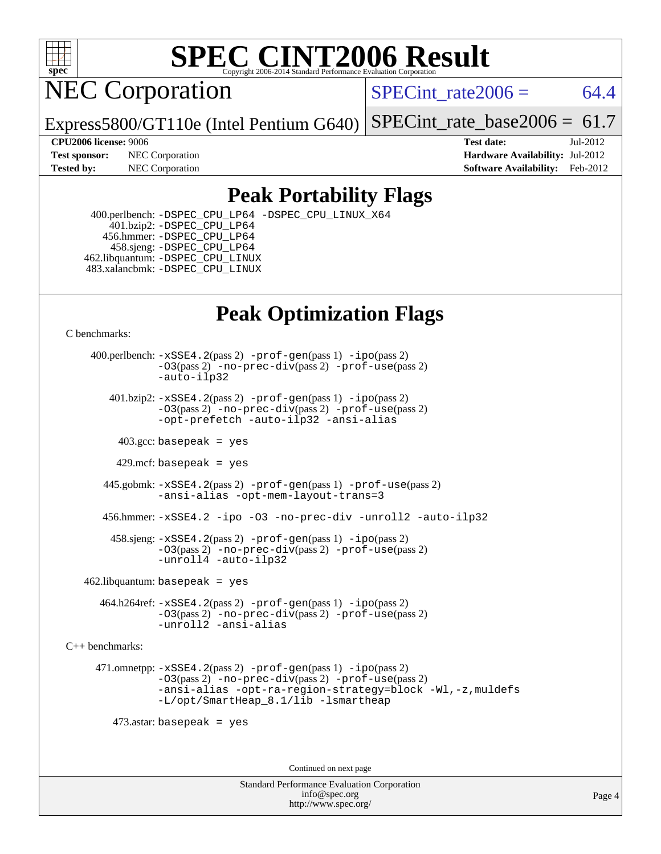

NEC Corporation

SPECint rate $2006 = 64.4$ 

Express5800/GT110e (Intel Pentium G640) [SPECint\\_rate\\_base2006 =](http://www.spec.org/auto/cpu2006/Docs/result-fields.html#SPECintratebase2006)  $61.7$ 

**[CPU2006 license:](http://www.spec.org/auto/cpu2006/Docs/result-fields.html#CPU2006license)** 9006 **[Test date:](http://www.spec.org/auto/cpu2006/Docs/result-fields.html#Testdate)** Jul-2012 **[Test sponsor:](http://www.spec.org/auto/cpu2006/Docs/result-fields.html#Testsponsor)** NEC Corporation **[Hardware Availability:](http://www.spec.org/auto/cpu2006/Docs/result-fields.html#HardwareAvailability)** Jul-2012 **[Tested by:](http://www.spec.org/auto/cpu2006/Docs/result-fields.html#Testedby)** NEC Corporation **[Software Availability:](http://www.spec.org/auto/cpu2006/Docs/result-fields.html#SoftwareAvailability)** Feb-2012

## **[Peak Portability Flags](http://www.spec.org/auto/cpu2006/Docs/result-fields.html#PeakPortabilityFlags)**

 400.perlbench: [-DSPEC\\_CPU\\_LP64](http://www.spec.org/cpu2006/results/res2012q3/cpu2006-20120716-23738.flags.html#b400.perlbench_peakCPORTABILITY_DSPEC_CPU_LP64) [-DSPEC\\_CPU\\_LINUX\\_X64](http://www.spec.org/cpu2006/results/res2012q3/cpu2006-20120716-23738.flags.html#b400.perlbench_peakCPORTABILITY_DSPEC_CPU_LINUX_X64) 401.bzip2: [-DSPEC\\_CPU\\_LP64](http://www.spec.org/cpu2006/results/res2012q3/cpu2006-20120716-23738.flags.html#suite_peakCPORTABILITY401_bzip2_DSPEC_CPU_LP64) 456.hmmer: [-DSPEC\\_CPU\\_LP64](http://www.spec.org/cpu2006/results/res2012q3/cpu2006-20120716-23738.flags.html#suite_peakCPORTABILITY456_hmmer_DSPEC_CPU_LP64) 458.sjeng: [-DSPEC\\_CPU\\_LP64](http://www.spec.org/cpu2006/results/res2012q3/cpu2006-20120716-23738.flags.html#suite_peakCPORTABILITY458_sjeng_DSPEC_CPU_LP64) 462.libquantum: [-DSPEC\\_CPU\\_LINUX](http://www.spec.org/cpu2006/results/res2012q3/cpu2006-20120716-23738.flags.html#b462.libquantum_peakCPORTABILITY_DSPEC_CPU_LINUX) 483.xalancbmk: [-DSPEC\\_CPU\\_LINUX](http://www.spec.org/cpu2006/results/res2012q3/cpu2006-20120716-23738.flags.html#b483.xalancbmk_peakCXXPORTABILITY_DSPEC_CPU_LINUX)

# **[Peak Optimization Flags](http://www.spec.org/auto/cpu2006/Docs/result-fields.html#PeakOptimizationFlags)**

[C benchmarks](http://www.spec.org/auto/cpu2006/Docs/result-fields.html#Cbenchmarks):

 400.perlbench: [-xSSE4.2](http://www.spec.org/cpu2006/results/res2012q3/cpu2006-20120716-23738.flags.html#user_peakPASS2_CFLAGSPASS2_LDCFLAGS400_perlbench_f-xSSE42_f91528193cf0b216347adb8b939d4107)(pass 2) [-prof-gen](http://www.spec.org/cpu2006/results/res2012q3/cpu2006-20120716-23738.flags.html#user_peakPASS1_CFLAGSPASS1_LDCFLAGS400_perlbench_prof_gen_e43856698f6ca7b7e442dfd80e94a8fc)(pass 1) [-ipo](http://www.spec.org/cpu2006/results/res2012q3/cpu2006-20120716-23738.flags.html#user_peakPASS2_CFLAGSPASS2_LDCFLAGS400_perlbench_f-ipo)(pass 2) [-O3](http://www.spec.org/cpu2006/results/res2012q3/cpu2006-20120716-23738.flags.html#user_peakPASS2_CFLAGSPASS2_LDCFLAGS400_perlbench_f-O3)(pass 2) [-no-prec-div](http://www.spec.org/cpu2006/results/res2012q3/cpu2006-20120716-23738.flags.html#user_peakPASS2_CFLAGSPASS2_LDCFLAGS400_perlbench_f-no-prec-div)(pass 2) [-prof-use](http://www.spec.org/cpu2006/results/res2012q3/cpu2006-20120716-23738.flags.html#user_peakPASS2_CFLAGSPASS2_LDCFLAGS400_perlbench_prof_use_bccf7792157ff70d64e32fe3e1250b55)(pass 2) [-auto-ilp32](http://www.spec.org/cpu2006/results/res2012q3/cpu2006-20120716-23738.flags.html#user_peakCOPTIMIZE400_perlbench_f-auto-ilp32)  $401.bzip2: -xSSE4.2(pass 2) -prof-qen(pass 1) -ipo(pass 2)$  $401.bzip2: -xSSE4.2(pass 2) -prof-qen(pass 1) -ipo(pass 2)$  $401.bzip2: -xSSE4.2(pass 2) -prof-qen(pass 1) -ipo(pass 2)$  $401.bzip2: -xSSE4.2(pass 2) -prof-qen(pass 1) -ipo(pass 2)$  $401.bzip2: -xSSE4.2(pass 2) -prof-qen(pass 1) -ipo(pass 2)$ [-O3](http://www.spec.org/cpu2006/results/res2012q3/cpu2006-20120716-23738.flags.html#user_peakPASS2_CFLAGSPASS2_LDCFLAGS401_bzip2_f-O3)(pass 2) [-no-prec-div](http://www.spec.org/cpu2006/results/res2012q3/cpu2006-20120716-23738.flags.html#user_peakPASS2_CFLAGSPASS2_LDCFLAGS401_bzip2_f-no-prec-div)(pass 2) [-prof-use](http://www.spec.org/cpu2006/results/res2012q3/cpu2006-20120716-23738.flags.html#user_peakPASS2_CFLAGSPASS2_LDCFLAGS401_bzip2_prof_use_bccf7792157ff70d64e32fe3e1250b55)(pass 2) [-opt-prefetch](http://www.spec.org/cpu2006/results/res2012q3/cpu2006-20120716-23738.flags.html#user_peakCOPTIMIZE401_bzip2_f-opt-prefetch) [-auto-ilp32](http://www.spec.org/cpu2006/results/res2012q3/cpu2006-20120716-23738.flags.html#user_peakCOPTIMIZE401_bzip2_f-auto-ilp32) [-ansi-alias](http://www.spec.org/cpu2006/results/res2012q3/cpu2006-20120716-23738.flags.html#user_peakCOPTIMIZE401_bzip2_f-ansi-alias)  $403.\text{sec: basepeak}$  = yes 429.mcf: basepeak = yes 445.gobmk: [-xSSE4.2](http://www.spec.org/cpu2006/results/res2012q3/cpu2006-20120716-23738.flags.html#user_peakPASS2_CFLAGSPASS2_LDCFLAGS445_gobmk_f-xSSE42_f91528193cf0b216347adb8b939d4107)(pass 2) [-prof-gen](http://www.spec.org/cpu2006/results/res2012q3/cpu2006-20120716-23738.flags.html#user_peakPASS1_CFLAGSPASS1_LDCFLAGS445_gobmk_prof_gen_e43856698f6ca7b7e442dfd80e94a8fc)(pass 1) [-prof-use](http://www.spec.org/cpu2006/results/res2012q3/cpu2006-20120716-23738.flags.html#user_peakPASS2_CFLAGSPASS2_LDCFLAGS445_gobmk_prof_use_bccf7792157ff70d64e32fe3e1250b55)(pass 2) [-ansi-alias](http://www.spec.org/cpu2006/results/res2012q3/cpu2006-20120716-23738.flags.html#user_peakCOPTIMIZE445_gobmk_f-ansi-alias) [-opt-mem-layout-trans=3](http://www.spec.org/cpu2006/results/res2012q3/cpu2006-20120716-23738.flags.html#user_peakCOPTIMIZE445_gobmk_f-opt-mem-layout-trans_a7b82ad4bd7abf52556d4961a2ae94d5) 456.hmmer: [-xSSE4.2](http://www.spec.org/cpu2006/results/res2012q3/cpu2006-20120716-23738.flags.html#user_peakCOPTIMIZE456_hmmer_f-xSSE42_f91528193cf0b216347adb8b939d4107) [-ipo](http://www.spec.org/cpu2006/results/res2012q3/cpu2006-20120716-23738.flags.html#user_peakCOPTIMIZE456_hmmer_f-ipo) [-O3](http://www.spec.org/cpu2006/results/res2012q3/cpu2006-20120716-23738.flags.html#user_peakCOPTIMIZE456_hmmer_f-O3) [-no-prec-div](http://www.spec.org/cpu2006/results/res2012q3/cpu2006-20120716-23738.flags.html#user_peakCOPTIMIZE456_hmmer_f-no-prec-div) [-unroll2](http://www.spec.org/cpu2006/results/res2012q3/cpu2006-20120716-23738.flags.html#user_peakCOPTIMIZE456_hmmer_f-unroll_784dae83bebfb236979b41d2422d7ec2) [-auto-ilp32](http://www.spec.org/cpu2006/results/res2012q3/cpu2006-20120716-23738.flags.html#user_peakCOPTIMIZE456_hmmer_f-auto-ilp32) 458.sjeng: [-xSSE4.2](http://www.spec.org/cpu2006/results/res2012q3/cpu2006-20120716-23738.flags.html#user_peakPASS2_CFLAGSPASS2_LDCFLAGS458_sjeng_f-xSSE42_f91528193cf0b216347adb8b939d4107)(pass 2) [-prof-gen](http://www.spec.org/cpu2006/results/res2012q3/cpu2006-20120716-23738.flags.html#user_peakPASS1_CFLAGSPASS1_LDCFLAGS458_sjeng_prof_gen_e43856698f6ca7b7e442dfd80e94a8fc)(pass 1) [-ipo](http://www.spec.org/cpu2006/results/res2012q3/cpu2006-20120716-23738.flags.html#user_peakPASS2_CFLAGSPASS2_LDCFLAGS458_sjeng_f-ipo)(pass 2) [-O3](http://www.spec.org/cpu2006/results/res2012q3/cpu2006-20120716-23738.flags.html#user_peakPASS2_CFLAGSPASS2_LDCFLAGS458_sjeng_f-O3)(pass 2) [-no-prec-div](http://www.spec.org/cpu2006/results/res2012q3/cpu2006-20120716-23738.flags.html#user_peakPASS2_CFLAGSPASS2_LDCFLAGS458_sjeng_f-no-prec-div)(pass 2) [-prof-use](http://www.spec.org/cpu2006/results/res2012q3/cpu2006-20120716-23738.flags.html#user_peakPASS2_CFLAGSPASS2_LDCFLAGS458_sjeng_prof_use_bccf7792157ff70d64e32fe3e1250b55)(pass 2) [-unroll4](http://www.spec.org/cpu2006/results/res2012q3/cpu2006-20120716-23738.flags.html#user_peakCOPTIMIZE458_sjeng_f-unroll_4e5e4ed65b7fd20bdcd365bec371b81f) [-auto-ilp32](http://www.spec.org/cpu2006/results/res2012q3/cpu2006-20120716-23738.flags.html#user_peakCOPTIMIZE458_sjeng_f-auto-ilp32)  $462$ .libquantum: basepeak = yes 464.h264ref: [-xSSE4.2](http://www.spec.org/cpu2006/results/res2012q3/cpu2006-20120716-23738.flags.html#user_peakPASS2_CFLAGSPASS2_LDCFLAGS464_h264ref_f-xSSE42_f91528193cf0b216347adb8b939d4107)(pass 2) [-prof-gen](http://www.spec.org/cpu2006/results/res2012q3/cpu2006-20120716-23738.flags.html#user_peakPASS1_CFLAGSPASS1_LDCFLAGS464_h264ref_prof_gen_e43856698f6ca7b7e442dfd80e94a8fc)(pass 1) [-ipo](http://www.spec.org/cpu2006/results/res2012q3/cpu2006-20120716-23738.flags.html#user_peakPASS2_CFLAGSPASS2_LDCFLAGS464_h264ref_f-ipo)(pass 2) [-O3](http://www.spec.org/cpu2006/results/res2012q3/cpu2006-20120716-23738.flags.html#user_peakPASS2_CFLAGSPASS2_LDCFLAGS464_h264ref_f-O3)(pass 2) [-no-prec-div](http://www.spec.org/cpu2006/results/res2012q3/cpu2006-20120716-23738.flags.html#user_peakPASS2_CFLAGSPASS2_LDCFLAGS464_h264ref_f-no-prec-div)(pass 2) [-prof-use](http://www.spec.org/cpu2006/results/res2012q3/cpu2006-20120716-23738.flags.html#user_peakPASS2_CFLAGSPASS2_LDCFLAGS464_h264ref_prof_use_bccf7792157ff70d64e32fe3e1250b55)(pass 2)

[C++ benchmarks:](http://www.spec.org/auto/cpu2006/Docs/result-fields.html#CXXbenchmarks)

 471.omnetpp: [-xSSE4.2](http://www.spec.org/cpu2006/results/res2012q3/cpu2006-20120716-23738.flags.html#user_peakPASS2_CXXFLAGSPASS2_LDCXXFLAGS471_omnetpp_f-xSSE42_f91528193cf0b216347adb8b939d4107)(pass 2) [-prof-gen](http://www.spec.org/cpu2006/results/res2012q3/cpu2006-20120716-23738.flags.html#user_peakPASS1_CXXFLAGSPASS1_LDCXXFLAGS471_omnetpp_prof_gen_e43856698f6ca7b7e442dfd80e94a8fc)(pass 1) [-ipo](http://www.spec.org/cpu2006/results/res2012q3/cpu2006-20120716-23738.flags.html#user_peakPASS2_CXXFLAGSPASS2_LDCXXFLAGS471_omnetpp_f-ipo)(pass 2) [-O3](http://www.spec.org/cpu2006/results/res2012q3/cpu2006-20120716-23738.flags.html#user_peakPASS2_CXXFLAGSPASS2_LDCXXFLAGS471_omnetpp_f-O3)(pass 2) [-no-prec-div](http://www.spec.org/cpu2006/results/res2012q3/cpu2006-20120716-23738.flags.html#user_peakPASS2_CXXFLAGSPASS2_LDCXXFLAGS471_omnetpp_f-no-prec-div)(pass 2) [-prof-use](http://www.spec.org/cpu2006/results/res2012q3/cpu2006-20120716-23738.flags.html#user_peakPASS2_CXXFLAGSPASS2_LDCXXFLAGS471_omnetpp_prof_use_bccf7792157ff70d64e32fe3e1250b55)(pass 2) [-ansi-alias](http://www.spec.org/cpu2006/results/res2012q3/cpu2006-20120716-23738.flags.html#user_peakCXXOPTIMIZE471_omnetpp_f-ansi-alias) [-opt-ra-region-strategy=block](http://www.spec.org/cpu2006/results/res2012q3/cpu2006-20120716-23738.flags.html#user_peakCXXOPTIMIZE471_omnetpp_f-opt-ra-region-strategy_a0a37c372d03933b2a18d4af463c1f69) [-Wl,-z,muldefs](http://www.spec.org/cpu2006/results/res2012q3/cpu2006-20120716-23738.flags.html#user_peakEXTRA_LDFLAGS471_omnetpp_link_force_multiple1_74079c344b956b9658436fd1b6dd3a8a) [-L/opt/SmartHeap\\_8.1/lib -lsmartheap](http://www.spec.org/cpu2006/results/res2012q3/cpu2006-20120716-23738.flags.html#user_peakEXTRA_LIBS471_omnetpp_SmartHeap_d5ba4dfc9de25d3c657c7de7476e66c5)

473.astar: basepeak = yes

[-unroll2](http://www.spec.org/cpu2006/results/res2012q3/cpu2006-20120716-23738.flags.html#user_peakCOPTIMIZE464_h264ref_f-unroll_784dae83bebfb236979b41d2422d7ec2) [-ansi-alias](http://www.spec.org/cpu2006/results/res2012q3/cpu2006-20120716-23738.flags.html#user_peakCOPTIMIZE464_h264ref_f-ansi-alias)

Continued on next page

Standard Performance Evaluation Corporation [info@spec.org](mailto:info@spec.org) <http://www.spec.org/>